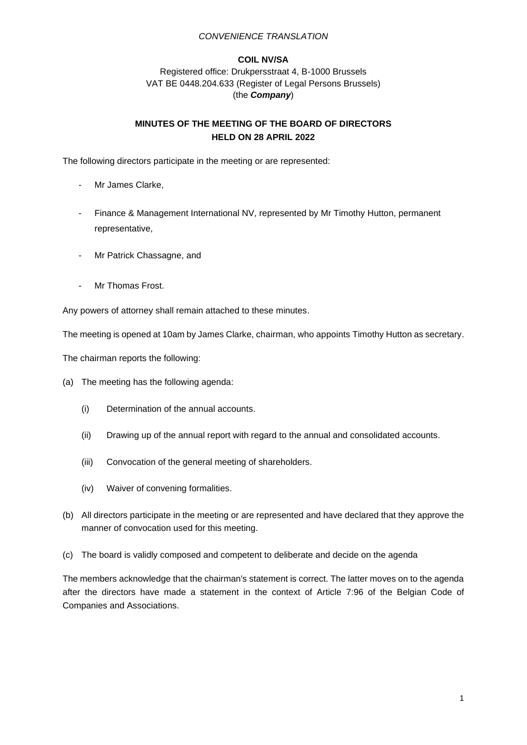#### **COIL NV/SA**

Registered office: Drukpersstraat 4, B-1000 Brussels VAT BE 0448.204.633 (Register of Legal Persons Brussels) (the *Company*)

# **MINUTES OF THE MEETING OF THE BOARD OF DIRECTORS HELD ON 28 APRIL 2022**

The following directors participate in the meeting or are represented:

- Mr James Clarke,
- Finance & Management International NV, represented by Mr Timothy Hutton, permanent representative,
- Mr Patrick Chassagne, and
- Mr Thomas Frost.

Any powers of attorney shall remain attached to these minutes.

The meeting is opened at 10am by James Clarke, chairman, who appoints Timothy Hutton as secretary.

The chairman reports the following:

- (a) The meeting has the following agenda:
	- (i) Determination of the annual accounts.
	- (ii) Drawing up of the annual report with regard to the annual and consolidated accounts.
	- (iii) Convocation of the general meeting of shareholders.
	- (iv) Waiver of convening formalities.
- (b) All directors participate in the meeting or are represented and have declared that they approve the manner of convocation used for this meeting.
- (c) The board is validly composed and competent to deliberate and decide on the agenda

The members acknowledge that the chairman's statement is correct. The latter moves on to the agenda after the directors have made a statement in the context of Article 7:96 of the Belgian Code of Companies and Associations.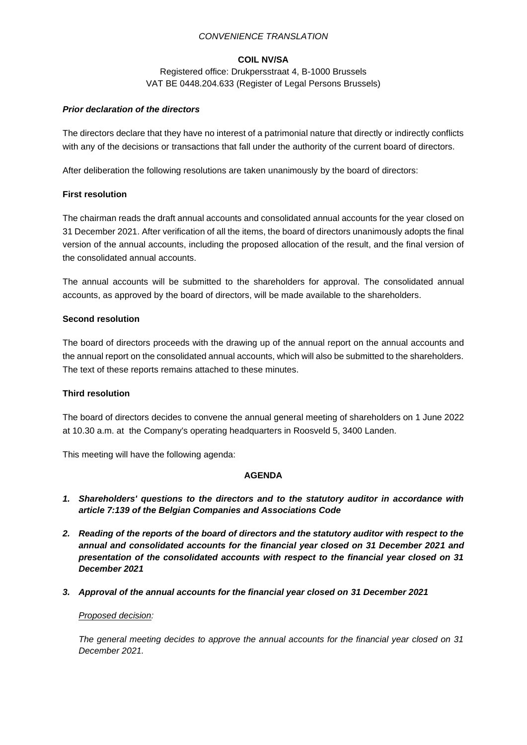# **COIL NV/SA**

Registered office: Drukpersstraat 4, B-1000 Brussels VAT BE 0448.204.633 (Register of Legal Persons Brussels)

# *Prior declaration of the directors*

The directors declare that they have no interest of a patrimonial nature that directly or indirectly conflicts with any of the decisions or transactions that fall under the authority of the current board of directors.

After deliberation the following resolutions are taken unanimously by the board of directors:

### **First resolution**

The chairman reads the draft annual accounts and consolidated annual accounts for the year closed on 31 December 2021. After verification of all the items, the board of directors unanimously adopts the final version of the annual accounts, including the proposed allocation of the result, and the final version of the consolidated annual accounts.

The annual accounts will be submitted to the shareholders for approval. The consolidated annual accounts, as approved by the board of directors, will be made available to the shareholders.

### **Second resolution**

The board of directors proceeds with the drawing up of the annual report on the annual accounts and the annual report on the consolidated annual accounts, which will also be submitted to the shareholders. The text of these reports remains attached to these minutes.

# **Third resolution**

The board of directors decides to convene the annual general meeting of shareholders on 1 June 2022 at 10.30 a.m. at the Company's operating headquarters in Roosveld 5, 3400 Landen.

This meeting will have the following agenda:

#### **AGENDA**

- *1. Shareholders' questions to the directors and to the statutory auditor in accordance with article 7:139 of the Belgian Companies and Associations Code*
- *2. Reading of the reports of the board of directors and the statutory auditor with respect to the annual and consolidated accounts for the financial year closed on 31 December 2021 and presentation of the consolidated accounts with respect to the financial year closed on 31 December 2021*
- *3. Approval of the annual accounts for the financial year closed on 31 December 2021*

#### *Proposed decision:*

*The general meeting decides to approve the annual accounts for the financial year closed on 31 December 2021.*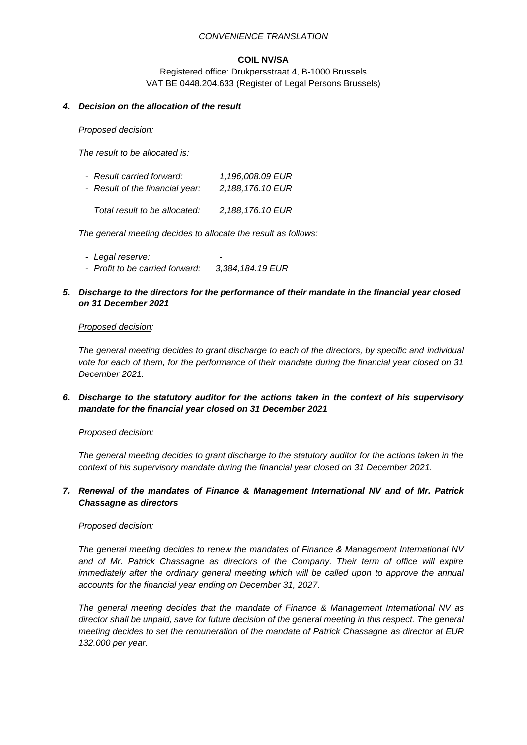# **COIL NV/SA**

Registered office: Drukpersstraat 4, B-1000 Brussels VAT BE 0448.204.633 (Register of Legal Persons Brussels)

# *4. Decision on the allocation of the result*

#### *Proposed decision:*

*The result to be allocated is:*

| - Result carried forward:       | 1,196,008.09 EUR |
|---------------------------------|------------------|
| - Result of the financial year: | 2,188,176.10 EUR |
| Total result to be allocated:   | 2,188,176.10 EUR |

*The general meeting decides to allocate the result as follows:*

- *- Legal reserve: -*
- *- Profit to be carried forward: 3,384,184.19 EUR*
- *5. Discharge to the directors for the performance of their mandate in the financial year closed on 31 December 2021*

#### *Proposed decision:*

*The general meeting decides to grant discharge to each of the directors, by specific and individual vote for each of them, for the performance of their mandate during the financial year closed on 31 December 2021.*

*6. Discharge to the statutory auditor for the actions taken in the context of his supervisory mandate for the financial year closed on 31 December 2021*

# *Proposed decision:*

*The general meeting decides to grant discharge to the statutory auditor for the actions taken in the context of his supervisory mandate during the financial year closed on 31 December 2021.*

# *7. Renewal of the mandates of Finance & Management International NV and of Mr. Patrick Chassagne as directors*

#### *Proposed decision:*

*The general meeting decides to renew the mandates of Finance & Management International NV and of Mr. Patrick Chassagne as directors of the Company. Their term of office will expire immediately after the ordinary general meeting which will be called upon to approve the annual accounts for the financial year ending on December 31, 2027.*

*The general meeting decides that the mandate of Finance & Management International NV as director shall be unpaid, save for future decision of the general meeting in this respect. The general meeting decides to set the remuneration of the mandate of Patrick Chassagne as director at EUR 132.000 per year.*